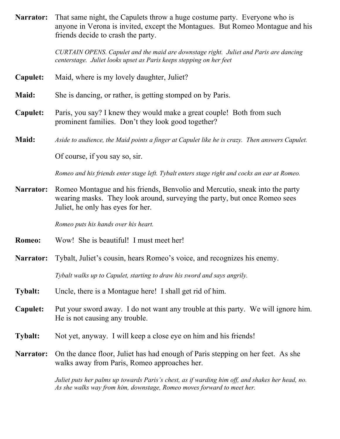**Narrator:** That same night, the Capulets throw a huge costume party. Everyone who is anyone in Verona is invited, except the Montagues. But Romeo Montague and his friends decide to crash the party.

> *CURTAIN OPENS. Capulet and the maid are downstage right. Juliet and Paris are dancing centerstage. Juliet looks upset as Paris keeps stepping on her feet*

- **Capulet:** Maid, where is my lovely daughter, Juliet?
- **Maid:** She is dancing, or rather, is getting stomped on by Paris.
- **Capulet:** Paris, you say? I knew they would make a great couple! Both from such prominent families. Don't they look good together?
- **Maid:** *Aside to audience, the Maid points a finger at Capulet like he is crazy. Then answers Capulet.*

Of course, if you say so, sir.

*Romeo and his friends enter stage left. Tybalt enters stage right and cocks an ear at Romeo.*

**Narrator:** Romeo Montague and his friends, Benvolio and Mercutio, sneak into the party wearing masks. They look around, surveying the party, but once Romeo sees Juliet, he only has eyes for her.

*Romeo puts his hands over his heart.*

- **Romeo:** Wow! She is beautiful! I must meet her!
- **Narrator:** Tybalt, Juliet's cousin, hears Romeo's voice, and recognizes his enemy.

*Tybalt walks up to Capulet, starting to draw his sword and says angrily.*

- **Tybalt:** Uncle, there is a Montague here! I shall get rid of him.
- **Capulet:** Put your sword away. I do not want any trouble at this party. We will ignore him. He is not causing any trouble.
- **Tybalt:** Not yet, anyway. I will keep a close eye on him and his friends!
- **Narrator:** On the dance floor, Juliet has had enough of Paris stepping on her feet. As she walks away from Paris, Romeo approaches her.

*Juliet puts her palms up towards Paris's chest, as if warding him off, and shakes her head, no. As she walks way from him, downstage, Romeo moves forward to meet her.*